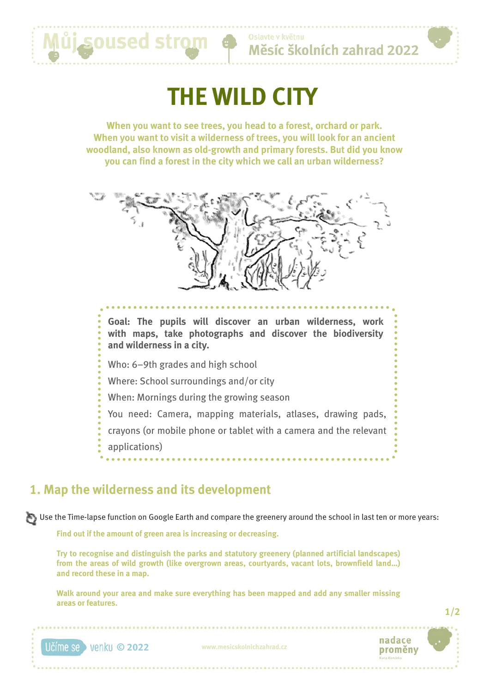# **THE WILD CITY**

**When you want to see trees, you head to a forest, orchard or park. When you want to visit a wilderness of trees, you will look for an ancient woodland, also known as old-growth and primary forests. But did you know you can find a forest in the city which we call an urban wilderness?**



## **1. Map the wilderness and its development**

Můj soused stro

Use the Time-lapse function on Google Earth and compare the greenery around the school in last ten or more years:

**Find out if the amount of green area is increasing or decreasing.**

**Try to recognise and distinguish the parks and statutory greenery (planned artificial landscapes) from the areas of wild growth (like overgrown areas, courtyards, vacant lots, brownfield land…) and record these in a map.** 

**Walk around your area and make sure everything has been mapped and add any smaller missing areas or features.**



**1/2**